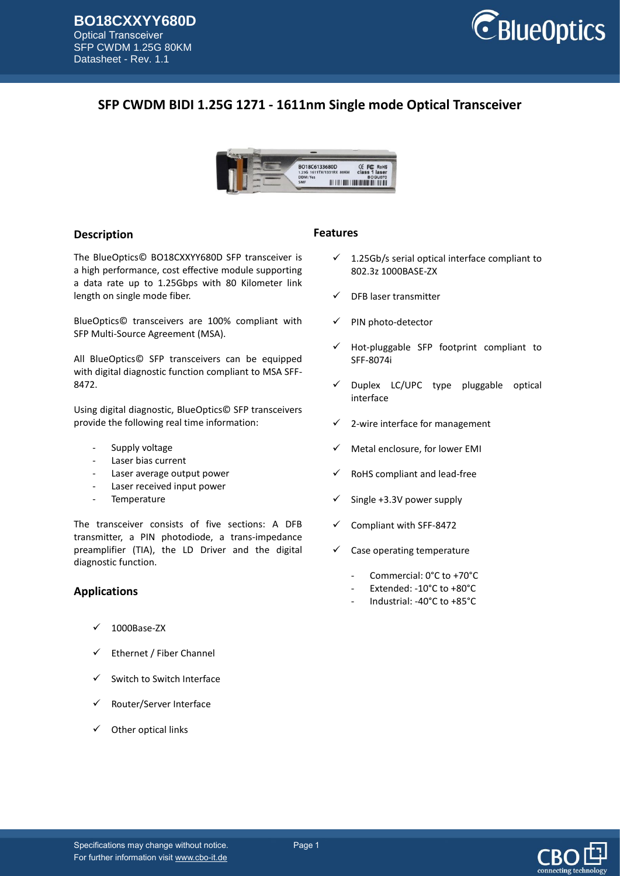

# **SFP CWDM BIDI 1.25G 1271 - 1611nm Single mode Optical Transceiver**



### **Description**

The BlueOptics© BO18CXXYY680D SFP transceiver is a high performance, cost effective module supporting a data rate up to 1.25Gbps with 80 Kilometer link length on single mode fiber.

BlueOptics© transceivers are 100% compliant with SFP Multi-Source Agreement (MSA).

All BlueOptics© SFP transceivers can be equipped with digital diagnostic function compliant to MSA SFF-8472.

Using digital diagnostic, BlueOptics© SFP transceivers provide the following real time information:

- Supply voltage
- Laser bias current
- Laser average output power
- Laser received input power
- Temperature

The transceiver consists of five sections: A DFB transmitter, a PIN photodiode, a trans-impedance preamplifier (TIA), the LD Driver and the digital diagnostic function.

### **Applications**

- 1000Base-ZX
- $\checkmark$  Ethernet / Fiber Channel
- $\checkmark$  Switch to Switch Interface
- Router/Server Interface
- Other optical links

#### **Features**

- $\checkmark$  1.25Gb/s serial optical interface compliant to 802.3z 1000BASE-ZX
- DFB laser transmitter
- PIN photo-detector
- Hot-pluggable SFP footprint compliant to SFF-8074i
- Duplex LC/UPC type pluggable optical interface
- 2-wire interface for management
- Metal enclosure, for lower EMI
- RoHS compliant and lead-free
- Single +3.3V power supply
- Compliant with SFF-8472
- $\checkmark$  Case operating temperature
	- Commercial: 0°C to +70°C
	- Extended: -10°C to +80°C
	- Industrial: -40°C to +85°C

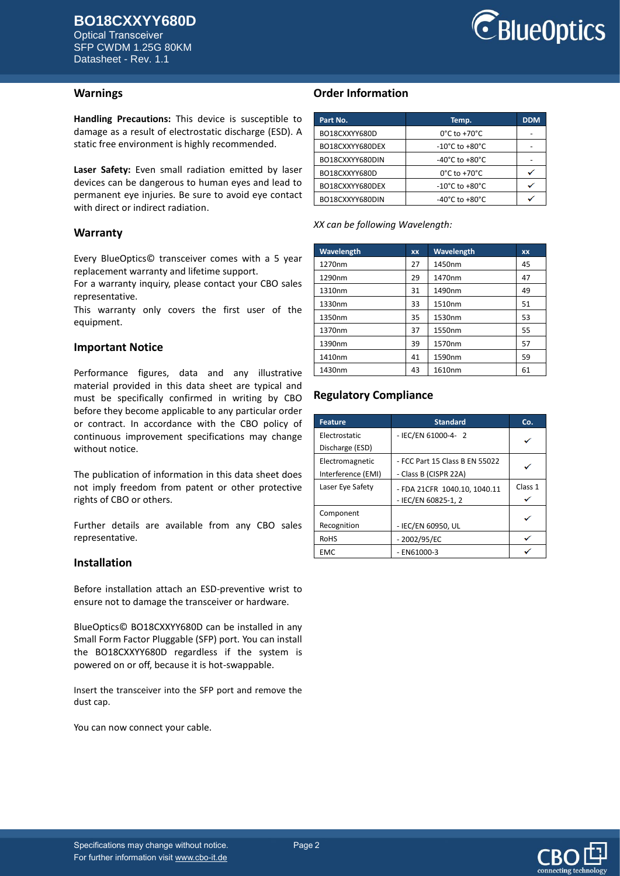Optical Transceiver SFP CWDM 1.25G 80KM Datasheet - Rev. 1.1



#### **Warnings**

**Handling Precautions:** This device is susceptible to damage as a result of electrostatic discharge (ESD). A static free environment is highly recommended.

**Laser Safety:** Even small radiation emitted by laser devices can be dangerous to human eyes and lead to permanent eye injuries. Be sure to avoid eye contact with direct or indirect radiation.

#### **Warranty**

Every BlueOptics© transceiver comes with a 5 year replacement warranty and lifetime support.

For a warranty inquiry, please contact your CBO sales representative.

This warranty only covers the first user of the equipment.

#### **Important Notice**

Performance figures, data and any illustrative material provided in this data sheet are typical and must be specifically confirmed in writing by CBO before they become applicable to any particular order or contract. In accordance with the CBO policy of continuous improvement specifications may change without notice.

The publication of information in this data sheet does not imply freedom from patent or other protective rights of CBO or others.

Further details are available from any CBO sales representative.

#### **Installation**

Before installation attach an ESD-preventive wrist to ensure not to damage the transceiver or hardware.

BlueOptics© BO18CXXYY680D can be installed in any Small Form Factor Pluggable (SFP) port. You can install the BO18CXXYY680D regardless if the system is powered on or off, because it is hot-swappable.

Insert the transceiver into the SFP port and remove the dust cap.

You can now connect your cable.

## **Order Information**

| Part No.        | Temp.                              | <b>DDM</b> |
|-----------------|------------------------------------|------------|
| BO18CXXYY680D   | $0^{\circ}$ C to +70 $^{\circ}$ C  |            |
| BO18CXXYY680DEX | -10°C to +80°C                     |            |
| BO18CXXYY680DIN | -40°C to +80°C                     |            |
| BO18CXXYY680D   | $0^{\circ}$ C to +70 $^{\circ}$ C  |            |
| BO18CXXYY680DEX | -10°C to +80°C                     |            |
| BO18CXXYY680DIN | $-40^{\circ}$ C to $+80^{\circ}$ C |            |

*XX can be following Wavelength:*

| Wavelength | <b>XX</b> | Wavelength | XX |
|------------|-----------|------------|----|
| 1270nm     | 27        | 1450nm     | 45 |
| 1290nm     | 29        | 1470nm     | 47 |
| 1310nm     | 31        | 1490nm     | 49 |
| 1330nm     | 33        | 1510nm     | 51 |
| 1350nm     | 35        | 1530nm     | 53 |
| 1370nm     | 37        | 1550nm     | 55 |
| 1390nm     | 39        | 1570nm     | 57 |
| 1410nm     | 41        | 1590nm     | 59 |
| 1430nm     | 43        | 1610nm     | 61 |

## **Regulatory Compliance**

| <b>Feature</b>     | <b>Standard</b>                | Co.     |
|--------------------|--------------------------------|---------|
| Electrostatic      | - IEC/EN 61000-4- 2            |         |
| Discharge (ESD)    |                                |         |
| Electromagnetic    | - FCC Part 15 Class B EN 55022 |         |
| Interference (EMI) | - Class B (CISPR 22A)          |         |
| Laser Eye Safety   | - FDA 21CFR 1040.10, 1040.11   | Class 1 |
|                    | - IEC/EN 60825-1, 2            |         |
| Component          |                                |         |
| Recognition        | - IEC/EN 60950, UL             |         |
| <b>RoHS</b>        | $-2002/95/EC$                  |         |
| <b>EMC</b>         | $-$ EN61000-3                  |         |

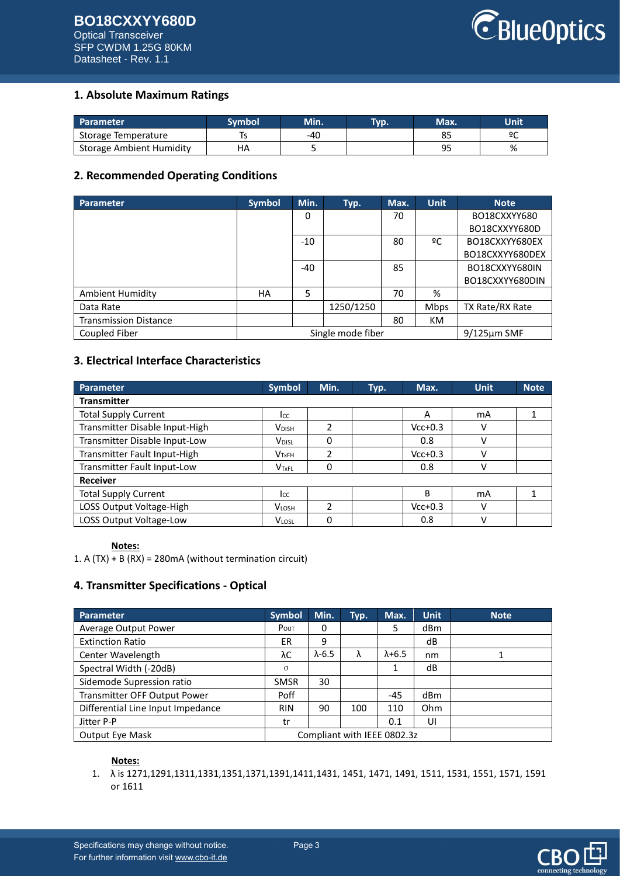### **BO18CXXYY680D** Optical Transceiver SFP CWDM 1.25G 80KM Datasheet - Rev. 1.1



## **1. Absolute Maximum Ratings**

| Parameter                       | Svmbol | Min. | Typ. | Max.           | Unit |
|---------------------------------|--------|------|------|----------------|------|
| Storage Temperature             |        | -40  |      | ပ.             | ٥٢   |
| <b>Storage Ambient Humidity</b> | НA     |      |      | ۵E<br><u>.</u> | %    |

## **2. Recommended Operating Conditions**

| <b>Parameter</b>             | <b>Symbol</b> | Min.  | Typ.              | Max. | <b>Unit</b> | <b>Note</b>       |
|------------------------------|---------------|-------|-------------------|------|-------------|-------------------|
|                              |               | 0     |                   | 70   |             | BO18CXXYY680      |
|                              |               |       |                   |      |             | BO18CXXYY680D     |
|                              |               | $-10$ |                   | 80   | ºC          | BO18CXXYY680EX    |
|                              |               |       |                   |      |             | BO18CXXYY680DEX   |
|                              |               | $-40$ |                   | 85   |             | BO18CXXYY680IN    |
|                              |               |       |                   |      |             | BO18CXXYY680DIN   |
| <b>Ambient Humidity</b>      | HA            | 5     |                   | 70   | %           |                   |
| Data Rate                    |               |       | 1250/1250         |      | <b>Mbps</b> | TX Rate/RX Rate   |
| <b>Transmission Distance</b> |               |       |                   | 80   | KM          |                   |
| Coupled Fiber                |               |       | Single mode fiber |      |             | $9/125 \mu m$ SMF |

## **3. Electrical Interface Characteristics**

| <b>Parameter</b>               | <b>Symbol</b>            | Min.          | Typ. | Max.      | <b>Unit</b> | <b>Note</b> |
|--------------------------------|--------------------------|---------------|------|-----------|-------------|-------------|
| <b>Transmitter</b>             |                          |               |      |           |             |             |
| <b>Total Supply Current</b>    | Icc                      |               |      | A         | mA          |             |
| Transmitter Disable Input-High | <b>V</b> <sub>DISH</sub> | $\mathfrak z$ |      | $Vcc+0.3$ | ν           |             |
| Transmitter Disable Input-Low  | V <sub>DISL</sub>        | 0             |      | 0.8       | ٧           |             |
| Transmitter Fault Input-High   | V <sub>TxFH</sub>        | 2             |      | $Vcc+0.3$ | ν           |             |
| Transmitter Fault Input-Low    | V <sub>TxFL</sub>        | 0             |      | 0.8       | v           |             |
| <b>Receiver</b>                |                          |               |      |           |             |             |
| <b>Total Supply Current</b>    | Icc                      |               |      | B         | mA          |             |
| LOSS Output Voltage-High       | <b>VLOSH</b>             | $\mathfrak z$ |      | $Vcc+0.3$ | v           |             |
| LOSS Output Voltage-Low        | <b>VLOSL</b>             | 0             |      | 0.8       | ν           |             |

### **Notes:**

1. A (TX) + B (RX) = 280mA (without termination circuit)

## **4. Transmitter Specifications - Optical**

| Parameter                         | <b>Symbol</b> | Min.                        | Typ. | Max.            | <b>Unit</b> | <b>Note</b> |
|-----------------------------------|---------------|-----------------------------|------|-----------------|-------------|-------------|
| Average Output Power              | POUT          | 0                           |      | 5               | dBm         |             |
| <b>Extinction Ratio</b>           | ER            | 9                           |      |                 | dB          |             |
| Center Wavelength                 | λC            | $\lambda$ -6.5              | λ    | $\lambda + 6.5$ | nm          |             |
| Spectral Width (-20dB)            | $\sigma$      |                             |      |                 | dB          |             |
| Sidemode Supression ratio         | <b>SMSR</b>   | 30                          |      |                 |             |             |
| Transmitter OFF Output Power      | Poff          |                             |      | $-45$           | dBm         |             |
| Differential Line Input Impedance | <b>RIN</b>    | 90                          | 100  | 110             | Ohm         |             |
| Jitter P-P                        | tr            |                             |      | 0.1             | UI          |             |
| <b>Output Eye Mask</b>            |               | Compliant with IEEE 0802.3z |      |                 |             |             |

#### **Notes:**

1. λ is 1271,1291,1311,1331,1351,1371,1391,1411,1431, 1451, 1471, 1491, 1511, 1531, 1551, 1571, 1591 or 1611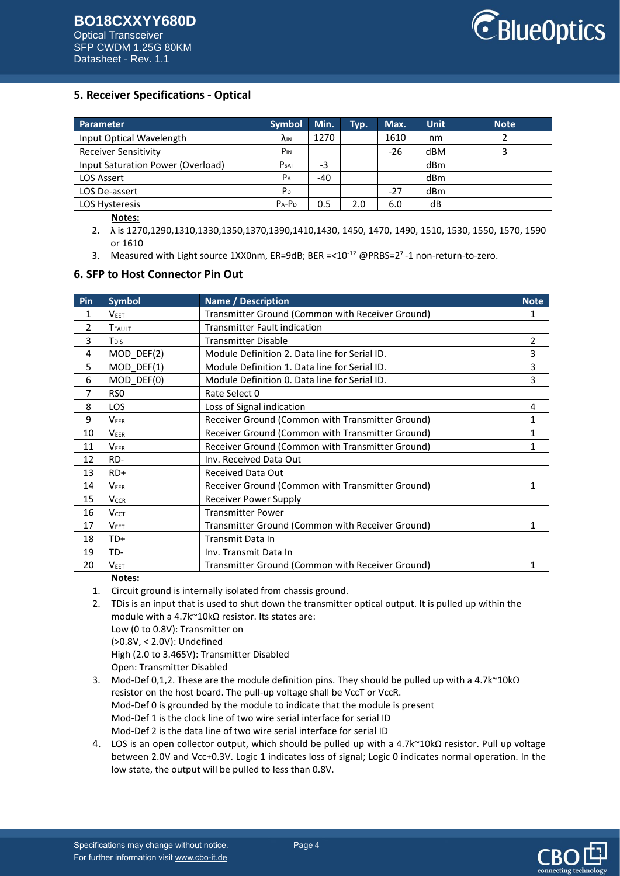

## **5. Receiver Specifications - Optical**

| Parameter                         | <b>Symbol</b>   | Min. | Typ. | Max.  | <b>Unit</b> | <b>Note</b> |
|-----------------------------------|-----------------|------|------|-------|-------------|-------------|
| Input Optical Wavelength          | <b>AIN</b>      | 1270 |      | 1610  | nm          |             |
| <b>Receiver Sensitivity</b>       | P <sub>IN</sub> |      |      | $-26$ | dBM         |             |
| Input Saturation Power (Overload) | <b>PSAT</b>     | -3   |      |       | dBm         |             |
| LOS Assert                        | $P_A$           | -40  |      |       | dBm         |             |
| LOS De-assert                     | P <sub>D</sub>  |      |      | $-27$ | dBm         |             |
| <b>LOS Hysteresis</b>             | $P_A - P_D$     | 0.5  | 2.0  | 6.0   | dB          |             |

#### **Notes:**

2. λ is 1270,1290,1310,1330,1350,1370,1390,1410,1430, 1450, 1470, 1490, 1510, 1530, 1550, 1570, 1590 or 1610

3. Measured with Light source 1XX0nm, ER=9dB; BER =< $10^{-12}$  @PRBS= $2^7$ -1 non-return-to-zero.

### **6. SFP to Host Connector Pin Out**

| Pin | <b>Symbol</b>           | <b>Name / Description</b>                        | <b>Note</b> |
|-----|-------------------------|--------------------------------------------------|-------------|
| 1   | V <sub>EET</sub>        | Transmitter Ground (Common with Receiver Ground) | 1           |
| 2   | TFAULT                  | <b>Transmitter Fault indication</b>              |             |
| 3   | T <sub>DIS</sub>        | <b>Transmitter Disable</b>                       | 2           |
| 4   | MOD_DEF(2)              | Module Definition 2. Data line for Serial ID.    | 3           |
| 5   | $MOD$ DEF(1)            | Module Definition 1. Data line for Serial ID.    | 3           |
| 6   | MOD DEF(0)              | Module Definition 0. Data line for Serial ID.    | 3           |
| 7   | RS <sub>0</sub>         | Rate Select 0                                    |             |
| 8   | <b>LOS</b>              | Loss of Signal indication                        | 4           |
| 9   | <b>VEER</b>             | Receiver Ground (Common with Transmitter Ground) | 1           |
| 10  | <b>VEER</b>             | Receiver Ground (Common with Transmitter Ground) | 1           |
| 11  | <b>VEER</b>             | Receiver Ground (Common with Transmitter Ground) | 1           |
| 12  | RD-                     | Inv. Received Data Out                           |             |
| 13  | $RD+$                   | <b>Received Data Out</b>                         |             |
| 14  | <b>VEER</b>             | Receiver Ground (Common with Transmitter Ground) | 1           |
| 15  | <b>V<sub>CCR</sub></b>  | Receiver Power Supply                            |             |
| 16  | <b>V</b> <sub>CCT</sub> | <b>Transmitter Power</b>                         |             |
| 17  | <b>VEET</b>             | Transmitter Ground (Common with Receiver Ground) | 1           |
| 18  | TD+                     | Transmit Data In                                 |             |
| 19  | TD-                     | Inv. Transmit Data In                            |             |
| 20  | <b>VEET</b>             | Transmitter Ground (Common with Receiver Ground) |             |

#### **Notes:**

1. Circuit ground is internally isolated from chassis ground.

- 2. TDis is an input that is used to shut down the transmitter optical output. It is pulled up within the module with a 4.7k~10kΩ resistor. Its states are:
	- Low (0 to 0.8V): Transmitter on (>0.8V, < 2.0V): Undefined

High (2.0 to 3.465V): Transmitter Disabled

Open: Transmitter Disabled

- 3. Mod-Def 0,1,2. These are the module definition pins. They should be pulled up with a 4.7k~10kΩ resistor on the host board. The pull-up voltage shall be VccT or VccR. Mod-Def 0 is grounded by the module to indicate that the module is present Mod-Def 1 is the clock line of two wire serial interface for serial ID Mod-Def 2 is the data line of two wire serial interface for serial ID
- 4. LOS is an open collector output, which should be pulled up with a 4.7k~10kΩ resistor. Pull up voltage between 2.0V and Vcc+0.3V. Logic 1 indicates loss of signal; Logic 0 indicates normal operation. In the low state, the output will be pulled to less than 0.8V.

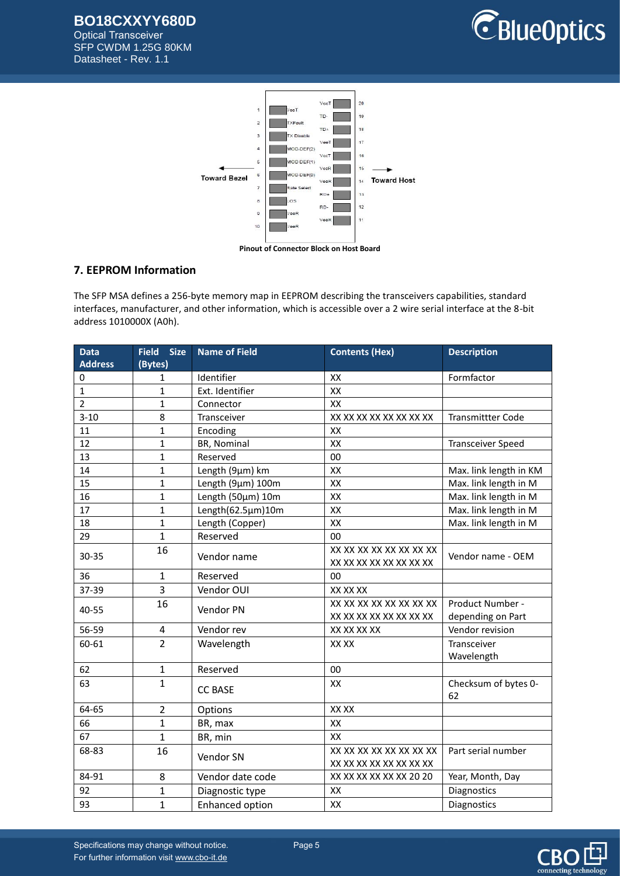**BO18CXXYY680D** Optical Transceiver

SFP CWDM 1.25G 80KM Datasheet - Rev. 1.1





## **7. EEPROM Information**

The SFP MSA defines a 256-byte memory map in EEPROM describing the transceivers capabilities, standard interfaces, manufacturer, and other information, which is accessible over a 2 wire serial interface at the 8-bit address 1010000X (A0h).

| <b>Data</b>    | <b>Size</b><br><b>Field</b> | <b>Name of Field</b>   | <b>Contents (Hex)</b>   | <b>Description</b>       |
|----------------|-----------------------------|------------------------|-------------------------|--------------------------|
| <b>Address</b> | (Bytes)                     |                        |                         |                          |
| 0              | 1                           | Identifier             | XX                      | Formfactor               |
| $\mathbf{1}$   | $\mathbf{1}$                | Ext. Identifier        | XX                      |                          |
| $\overline{2}$ | $\mathbf{1}$                | Connector              | XX                      |                          |
| $3 - 10$       | 8                           | Transceiver            | XX XX XX XX XX XX XX XX | <b>Transmittter Code</b> |
| 11             | $\mathbf{1}$                | Encoding               | XX                      |                          |
| 12             | $\mathbf{1}$                | BR, Nominal            | XX                      | <b>Transceiver Speed</b> |
| 13             | $\mathbf{1}$                | Reserved               | 00                      |                          |
| 14             | $\mathbf{1}$                | Length (9µm) km        | XX                      | Max. link length in KM   |
| 15             | $\mathbf{1}$                | Length (9µm) 100m      | XX                      | Max. link length in M    |
| 16             | $\mathbf{1}$                | Length (50µm) 10m      | XX                      | Max. link length in M    |
| 17             | $\mathbf{1}$                | Length(62.5µm)10m      | XX                      | Max. link length in M    |
| 18             | $\mathbf{1}$                | Length (Copper)        | XX                      | Max. link length in M    |
| 29             | $\mathbf{1}$                | Reserved               | 00                      |                          |
|                | 16                          |                        | XX XX XX XX XX XX XX XX |                          |
| 30-35          |                             | Vendor name            | XX XX XX XX XX XX XX XX | Vendor name - OEM        |
| 36             | 1                           | Reserved               | 00                      |                          |
| 37-39          | 3                           | Vendor OUI             | XX XX XX                |                          |
| 40-55          | 16                          | Vendor PN              | XX XX XX XX XX XX XX XX | Product Number -         |
|                |                             |                        | XX XX XX XX XX XX XX XX | depending on Part        |
| 56-59          | 4                           | Vendor rev             | XX XX XX XX             | Vendor revision          |
| 60-61          | $\overline{2}$              | Wavelength             | XX XX                   | Transceiver              |
|                |                             |                        |                         | Wavelength               |
| 62             | $\mathbf{1}$                | Reserved               | 00                      |                          |
| 63             | $\mathbf{1}$                |                        | XX                      | Checksum of bytes 0-     |
|                |                             | <b>CC BASE</b>         |                         | 62                       |
| 64-65          | $\overline{2}$              | Options                | XX XX                   |                          |
| 66             | $\mathbf{1}$                | BR, max                | XX                      |                          |
| 67             | $\overline{1}$              | BR, min                | XX                      |                          |
| 68-83          | 16                          |                        | XX XX XX XX XX XX XX XX | Part serial number       |
|                |                             | Vendor SN              | XX XX XX XX XX XX XX XX |                          |
| 84-91          | 8                           | Vendor date code       | XX XX XX XX XX XX 20 20 | Year, Month, Day         |
| 92             | 1                           | Diagnostic type        | XX                      | Diagnostics              |
| 93             | $\overline{1}$              | <b>Enhanced option</b> | XX                      | Diagnostics              |